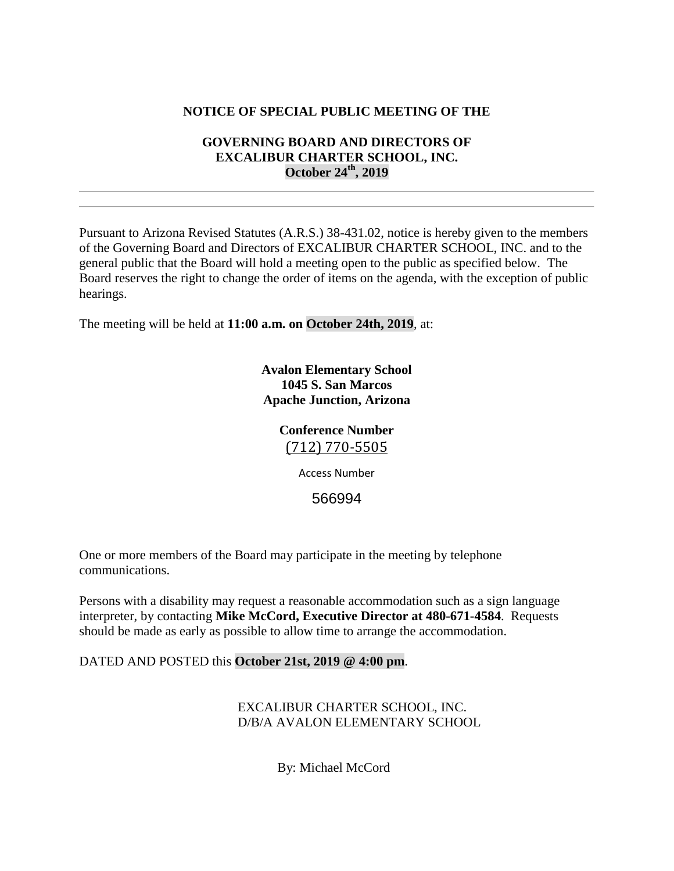## **NOTICE OF SPECIAL PUBLIC MEETING OF THE**

## **GOVERNING BOARD AND DIRECTORS OF EXCALIBUR CHARTER SCHOOL, INC. October 24th, 2019**

Pursuant to Arizona Revised Statutes (A.R.S.) 38-431.02, notice is hereby given to the members of the Governing Board and Directors of EXCALIBUR CHARTER SCHOOL, INC. and to the general public that the Board will hold a meeting open to the public as specified below. The Board reserves the right to change the order of items on the agenda, with the exception of public hearings.

The meeting will be held at **11:00 a.m. on October 24th, 2019**, at:

**Avalon Elementary School 1045 S. San Marcos Apache Junction, Arizona**

# **Conference Number** [\(712\) 770-5505](tel:(712)%20770-5505)

Access Number

566994

One or more members of the Board may participate in the meeting by telephone communications.

Persons with a disability may request a reasonable accommodation such as a sign language interpreter, by contacting **Mike McCord, Executive Director at 480-671-4584**. Requests should be made as early as possible to allow time to arrange the accommodation.

#### DATED AND POSTED this **October 21st, 2019 @ 4:00 pm**.

EXCALIBUR CHARTER SCHOOL, INC. D/B/A AVALON ELEMENTARY SCHOOL

By: Michael McCord